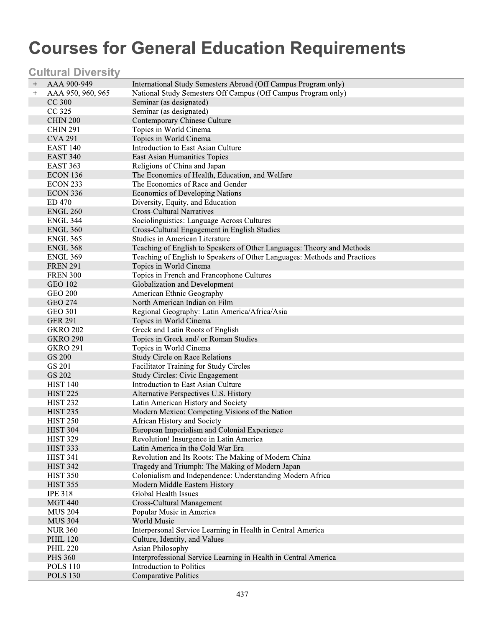# **Courses for General Education Requirements**

### **Cultural Diversity**

| $\mathrm{+}$ | AAA 900-949                 | International Study Semesters Abroad (Off Campus Program only)                        |
|--------------|-----------------------------|---------------------------------------------------------------------------------------|
| $\ddot{}$    | AAA 950, 960, 965           | National Study Semesters Off Campus (Off Campus Program only)                         |
|              | CC <sub>300</sub>           | Seminar (as designated)                                                               |
|              | CC 325                      | Seminar (as designated)                                                               |
|              | <b>CHIN 200</b>             | Contemporary Chinese Culture                                                          |
|              | <b>CHIN 291</b>             | Topics in World Cinema                                                                |
|              | <b>CVA 291</b>              | Topics in World Cinema                                                                |
|              | <b>EAST 140</b>             | Introduction to East Asian Culture                                                    |
|              | <b>EAST 340</b>             | <b>East Asian Humanities Topics</b>                                                   |
|              | <b>EAST 363</b>             | Religions of China and Japan                                                          |
|              | ECON 136                    | The Economics of Health, Education, and Welfare                                       |
|              |                             | The Economics of Race and Gender                                                      |
|              | ECON 233<br><b>ECON 336</b> | <b>Economics of Developing Nations</b>                                                |
|              | ED 470                      |                                                                                       |
|              | <b>ENGL 260</b>             | Diversity, Equity, and Education<br><b>Cross-Cultural Narratives</b>                  |
|              |                             |                                                                                       |
|              | <b>ENGL 344</b>             | Sociolinguistics: Language Across Cultures                                            |
|              | <b>ENGL 360</b>             | Cross-Cultural Engagement in English Studies<br><b>Studies in American Literature</b> |
|              | <b>ENGL 365</b>             |                                                                                       |
|              | <b>ENGL 368</b>             | Teaching of English to Speakers of Other Languages: Theory and Methods                |
|              | <b>ENGL 369</b>             | Teaching of English to Speakers of Other Languages: Methods and Practices             |
|              | <b>FREN 291</b>             | Topics in World Cinema                                                                |
|              | <b>FREN 300</b>             | Topics in French and Francophone Cultures                                             |
|              | <b>GEO 102</b>              | Globalization and Development                                                         |
|              | <b>GEO 200</b>              | American Ethnic Geography                                                             |
|              | <b>GEO 274</b>              | North American Indian on Film                                                         |
|              | <b>GEO 301</b>              | Regional Geography: Latin America/Africa/Asia                                         |
|              | <b>GER 291</b>              | Topics in World Cinema                                                                |
|              | <b>GKRO 202</b>             | Greek and Latin Roots of English                                                      |
|              | <b>GKRO 290</b>             | Topics in Greek and/ or Roman Studies                                                 |
|              | <b>GKRO 291</b>             | Topics in World Cinema                                                                |
|              | <b>GS 200</b>               | <b>Study Circle on Race Relations</b>                                                 |
|              | <b>GS 201</b>               | Facilitator Training for Study Circles                                                |
|              | <b>GS 202</b>               | <b>Study Circles: Civic Engagement</b>                                                |
|              | <b>HIST 140</b>             | Introduction to East Asian Culture                                                    |
|              | <b>HIST 225</b>             | Alternative Perspectives U.S. History                                                 |
|              | <b>HIST 232</b>             | Latin American History and Society                                                    |
|              | <b>HIST 235</b>             | Modern Mexico: Competing Visions of the Nation                                        |
|              | <b>HIST 250</b>             | African History and Society                                                           |
|              | <b>HIST 304</b>             | European Imperialism and Colonial Experience                                          |
|              | <b>HIST 329</b>             | Revolution! Insurgence in Latin America                                               |
|              | <b>HIST 333</b>             | Latin America in the Cold War Era                                                     |
|              | <b>HIST 341</b>             | Revolution and Its Roots: The Making of Modern China                                  |
|              | <b>HIST 342</b>             | Tragedy and Triumph: The Making of Modern Japan                                       |
|              | <b>HIST 350</b>             | Colonialism and Independence: Understanding Modern Africa                             |
|              | <b>HIST 355</b>             | Modern Middle Eastern History                                                         |
|              | <b>IPE 318</b>              | Global Health Issues                                                                  |
|              | <b>MGT 440</b>              | Cross-Cultural Management                                                             |
|              | <b>MUS 204</b>              | Popular Music in America                                                              |
|              | <b>MUS 304</b>              | World Music                                                                           |
|              | <b>NUR 360</b>              | Interpersonal Service Learning in Health in Central America                           |
|              | <b>PHIL 120</b>             | Culture, Identity, and Values                                                         |
|              | <b>PHIL 220</b>             | Asian Philosophy                                                                      |
|              | <b>PHS 360</b>              | Interprofessional Service Learning in Health in Central America                       |
|              | <b>POLS 110</b>             | Introduction to Politics                                                              |
|              | <b>POLS 130</b>             | <b>Comparative Politics</b>                                                           |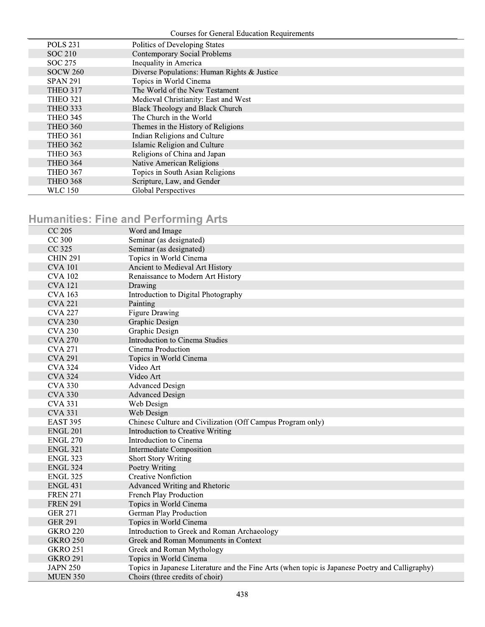**Courses for General Education Requirements** 

| Politics of Developing States               |
|---------------------------------------------|
| <b>Contemporary Social Problems</b>         |
| Inequality in America                       |
| Diverse Populations: Human Rights & Justice |
| Topics in World Cinema                      |
| The World of the New Testament              |
| Medieval Christianity: East and West        |
| <b>Black Theology and Black Church</b>      |
| The Church in the World                     |
| Themes in the History of Religions          |
| Indian Religions and Culture                |
| Islamic Religion and Culture                |
| Religions of China and Japan                |
| Native American Religions                   |
| Topics in South Asian Religions             |
| Scripture, Law, and Gender                  |
| <b>Global Perspectives</b>                  |
|                                             |

### **Humanities: Fine and Performing Arts**

| CC 205          | Word and Image                                                                                  |
|-----------------|-------------------------------------------------------------------------------------------------|
| <b>CC 300</b>   | Seminar (as designated)                                                                         |
| CC 325          | Seminar (as designated)                                                                         |
| <b>CHIN 291</b> | Topics in World Cinema                                                                          |
| <b>CVA 101</b>  | Ancient to Medieval Art History                                                                 |
| <b>CVA 102</b>  | Renaissance to Modern Art History                                                               |
| <b>CVA 121</b>  | Drawing                                                                                         |
| <b>CVA 163</b>  | Introduction to Digital Photography                                                             |
| <b>CVA 221</b>  | Painting                                                                                        |
| <b>CVA 227</b>  | <b>Figure Drawing</b>                                                                           |
| <b>CVA 230</b>  | <b>Graphic Design</b>                                                                           |
| <b>CVA 230</b>  | Graphic Design                                                                                  |
| <b>CVA 270</b>  | Introduction to Cinema Studies                                                                  |
| <b>CVA 271</b>  | Cinema Production                                                                               |
| <b>CVA 291</b>  | Topics in World Cinema                                                                          |
| <b>CVA 324</b>  | Video Art                                                                                       |
| <b>CVA 324</b>  | Video Art                                                                                       |
| <b>CVA 330</b>  | <b>Advanced Design</b>                                                                          |
| <b>CVA 330</b>  | <b>Advanced Design</b>                                                                          |
| <b>CVA 331</b>  | Web Design                                                                                      |
| <b>CVA 331</b>  | Web Design                                                                                      |
| <b>EAST 395</b> | Chinese Culture and Civilization (Off Campus Program only)                                      |
| <b>ENGL 201</b> | Introduction to Creative Writing                                                                |
| <b>ENGL 270</b> | Introduction to Cinema                                                                          |
| <b>ENGL 321</b> | <b>Intermediate Composition</b>                                                                 |
| <b>ENGL 323</b> | <b>Short Story Writing</b>                                                                      |
| <b>ENGL 324</b> | Poetry Writing                                                                                  |
| <b>ENGL 325</b> | <b>Creative Nonfiction</b>                                                                      |
| <b>ENGL 431</b> | Advanced Writing and Rhetoric                                                                   |
| <b>FREN 271</b> | French Play Production                                                                          |
| <b>FREN 291</b> | Topics in World Cinema                                                                          |
| <b>GER 271</b>  | German Play Production                                                                          |
| <b>GER 291</b>  | Topics in World Cinema                                                                          |
| <b>GKRO 220</b> | Introduction to Greek and Roman Archaeology                                                     |
| <b>GKRO 250</b> | Greek and Roman Monuments in Context                                                            |
| <b>GKRO 251</b> | Greek and Roman Mythology                                                                       |
| <b>GKRO 291</b> | Topics in World Cinema                                                                          |
| <b>JAPN 250</b> | Topics in Japanese Literature and the Fine Arts (when topic is Japanese Poetry and Calligraphy) |
| <b>MUEN 350</b> | Choirs (three credits of choir)                                                                 |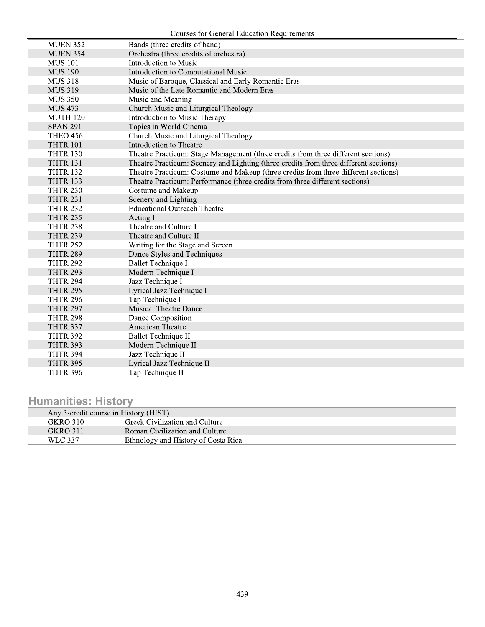**Courses for General Education Requirements** 

| <b>MUEN 352</b> | Bands (three credits of band)                                                         |
|-----------------|---------------------------------------------------------------------------------------|
| <b>MUEN 354</b> | Orchestra (three credits of orchestra)                                                |
| <b>MUS 101</b>  | Introduction to Music                                                                 |
| <b>MUS 190</b>  | Introduction to Computational Music                                                   |
| <b>MUS 318</b>  | Music of Baroque, Classical and Early Romantic Eras                                   |
| <b>MUS 319</b>  | Music of the Late Romantic and Modern Eras                                            |
| <b>MUS 350</b>  | Music and Meaning                                                                     |
| <b>MUS 473</b>  | Church Music and Liturgical Theology                                                  |
| <b>MUTH 120</b> | Introduction to Music Therapy                                                         |
| <b>SPAN 291</b> | Topics in World Cinema                                                                |
| <b>THEO 456</b> | Church Music and Liturgical Theology                                                  |
| <b>THTR 101</b> | Introduction to Theatre                                                               |
| <b>THTR 130</b> | Theatre Practicum: Stage Management (three credits from three different sections)     |
| <b>THTR 131</b> | Theatre Practicum: Scenery and Lighting (three credits from three different sections) |
| <b>THTR 132</b> | Theatre Practicum: Costume and Makeup (three credits from three different sections)   |
| <b>THTR 133</b> | Theatre Practicum: Performance (three credits from three different sections)          |
| <b>THTR 230</b> | Costume and Makeup                                                                    |
| <b>THTR 231</b> | Scenery and Lighting                                                                  |
| <b>THTR 232</b> | <b>Educational Outreach Theatre</b>                                                   |
| <b>THTR 235</b> | Acting I                                                                              |
| <b>THTR 238</b> | Theatre and Culture I                                                                 |
| <b>THTR 239</b> | Theatre and Culture II                                                                |
| <b>THTR 252</b> | Writing for the Stage and Screen                                                      |
| <b>THTR 289</b> | Dance Styles and Techniques                                                           |
| <b>THTR 292</b> | <b>Ballet Technique I</b>                                                             |
| <b>THTR 293</b> | Modern Technique I                                                                    |
| <b>THTR 294</b> | Jazz Technique I                                                                      |
| <b>THTR 295</b> | Lyrical Jazz Technique I                                                              |
| <b>THTR 296</b> | Tap Technique I                                                                       |
| <b>THTR 297</b> | <b>Musical Theatre Dance</b>                                                          |
| <b>THTR 298</b> | Dance Composition                                                                     |
| <b>THTR 337</b> | <b>American Theatre</b>                                                               |
| <b>THTR 392</b> | Ballet Technique II                                                                   |
| <b>THTR 393</b> | Modern Technique II                                                                   |
| <b>THTR 394</b> | Jazz Technique II                                                                     |
| <b>THTR 395</b> | Lyrical Jazz Technique II                                                             |
| THTR 396        | Tap Technique II                                                                      |
|                 |                                                                                       |

# **Humanities: History**

| Any 3-credit course in History (HIST) |                                     |
|---------------------------------------|-------------------------------------|
| <b>GKRO 310</b>                       | Greek Civilization and Culture      |
| <b>GKRO 311</b>                       | Roman Civilization and Culture      |
| WLC 337                               | Ethnology and History of Costa Rica |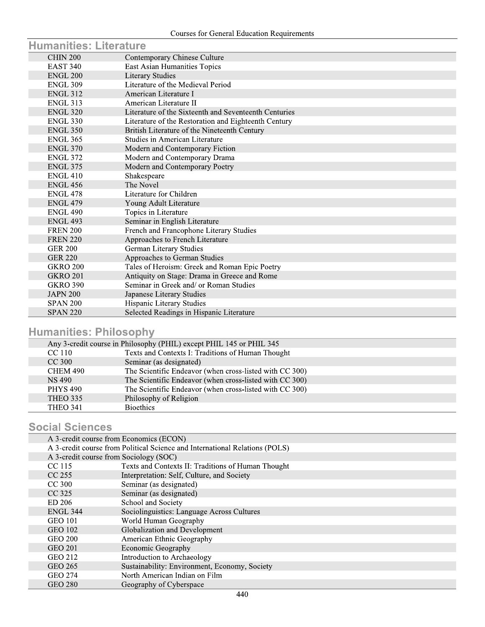| <b>Humanities: Literature</b> |                                                       |
|-------------------------------|-------------------------------------------------------|
| <b>CHIN 200</b>               | Contemporary Chinese Culture                          |
| <b>EAST 340</b>               | East Asian Humanities Topics                          |
| ENGL 200                      | <b>Literary Studies</b>                               |
| <b>ENGL 309</b>               | Literature of the Medieval Period                     |
| <b>ENGL 312</b>               | American Literature I                                 |
| <b>ENGL 313</b>               | American Literature II                                |
| <b>ENGL 320</b>               | Literature of the Sixteenth and Seventeenth Centuries |
| <b>ENGL 330</b>               | Literature of the Restoration and Eighteenth Century  |
| <b>ENGL 350</b>               | British Literature of the Nineteenth Century          |
| <b>ENGL 365</b>               | <b>Studies in American Literature</b>                 |
| <b>ENGL 370</b>               | Modern and Contemporary Fiction                       |
| <b>ENGL 372</b>               | Modern and Contemporary Drama                         |
| <b>ENGL 375</b>               | Modern and Contemporary Poetry                        |
| <b>ENGL 410</b>               | Shakespeare                                           |
| <b>ENGL 456</b>               | The Novel                                             |
| <b>ENGL 478</b>               | Literature for Children                               |
| <b>ENGL 479</b>               | Young Adult Literature                                |
| <b>ENGL 490</b>               | Topics in Literature                                  |
| <b>ENGL 493</b>               | Seminar in English Literature                         |
| <b>FREN 200</b>               | French and Francophone Literary Studies               |
| <b>FREN 220</b>               | Approaches to French Literature                       |
| <b>GER 200</b>                | German Literary Studies                               |
| <b>GER 220</b>                | Approaches to German Studies                          |
| <b>GKRO 200</b>               | Tales of Heroism: Greek and Roman Epic Poetry         |
| <b>GKRO 201</b>               | Antiquity on Stage: Drama in Greece and Rome          |
| <b>GKRO 390</b>               | Seminar in Greek and/ or Roman Studies                |
| <b>JAPN 200</b>               | Japanese Literary Studies                             |
| <b>SPAN 200</b>               | Hispanic Literary Studies                             |
| <b>SPAN 220</b>               | Selected Readings in Hispanic Literature              |

### **Humanities: Philosophy**

|                 | Any 3-credit course in Philosophy (PHIL) except PHIL 145 or PHIL 345 |
|-----------------|----------------------------------------------------------------------|
| CC 110          | Texts and Contexts I: Traditions of Human Thought                    |
| $CC$ 300        | Seminar (as designated)                                              |
| CHEM 490        | The Scientific Endeavor (when cross-listed with CC 300)              |
| NS 490          | The Scientific Endeavor (when cross-listed with CC 300)              |
| <b>PHYS 490</b> | The Scientific Endeavor (when cross-listed with CC 300)              |
| THEO 335        | Philosophy of Religion                                               |
| <b>THEO 341</b> | <b>Bioethics</b>                                                     |

#### **Social Sciences**

|                 | A 3-credit course from Economics (ECON)                                     |
|-----------------|-----------------------------------------------------------------------------|
|                 | A 3-credit course from Political Science and International Relations (POLS) |
|                 | A 3-credit course from Sociology (SOC)                                      |
| CC 115          | Texts and Contexts II: Traditions of Human Thought                          |
| $CC$ 255        | Interpretation: Self, Culture, and Society                                  |
| $CC$ 300        | Seminar (as designated)                                                     |
| CC 325          | Seminar (as designated)                                                     |
| ED 206          | School and Society                                                          |
| <b>ENGL 344</b> | Sociolinguistics: Language Across Cultures                                  |
| <b>GEO 101</b>  | World Human Geography                                                       |
| <b>GEO 102</b>  | Globalization and Development                                               |
| <b>GEO 200</b>  | American Ethnic Geography                                                   |
| <b>GEO 201</b>  | <b>Economic Geography</b>                                                   |
| GEO 212         | Introduction to Archaeology                                                 |
| GEO 265         | Sustainability: Environment, Economy, Society                               |
| <b>GEO 274</b>  | North American Indian on Film                                               |
| <b>GEO 280</b>  | Geography of Cyberspace                                                     |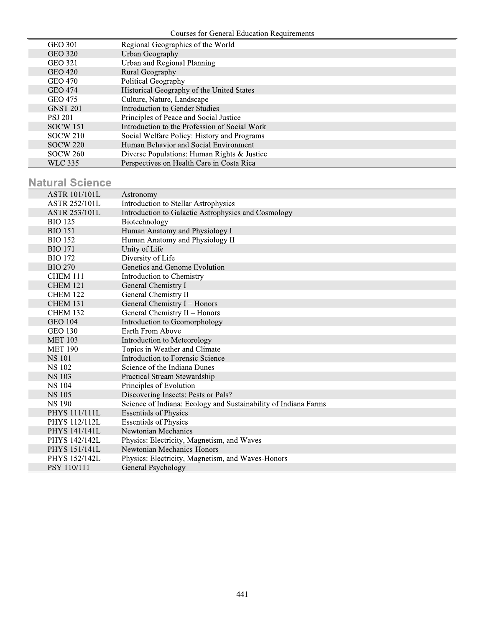| <b>GEO 301</b>  | Regional Geographies of the World             |
|-----------------|-----------------------------------------------|
| <b>GEO 320</b>  | Urban Geography                               |
| <b>GEO 321</b>  | Urban and Regional Planning                   |
| GEO 420         | Rural Geography                               |
| <b>GEO 470</b>  | Political Geography                           |
| <b>GEO 474</b>  | Historical Geography of the United States     |
| <b>GEO 475</b>  | Culture, Nature, Landscape                    |
| <b>GNST 201</b> | <b>Introduction to Gender Studies</b>         |
| <b>PSJ 201</b>  | Principles of Peace and Social Justice        |
| <b>SOCW 151</b> | Introduction to the Profession of Social Work |
| <b>SOCW 210</b> | Social Welfare Policy: History and Programs   |
| <b>SOCW 220</b> | Human Behavior and Social Environment         |
| <b>SOCW 260</b> | Diverse Populations: Human Rights & Justice   |
| <b>WLC 335</b>  | Perspectives on Health Care in Costa Rica     |

# **Natural Science**

| <b>ASTR 101/101L</b> | Astronomy                                                       |
|----------------------|-----------------------------------------------------------------|
| <b>ASTR 252/101L</b> | Introduction to Stellar Astrophysics                            |
| <b>ASTR 253/101L</b> | Introduction to Galactic Astrophysics and Cosmology             |
| <b>BIO</b> 125       | Biotechnology                                                   |
| <b>BIO 151</b>       | Human Anatomy and Physiology I                                  |
| <b>BIO 152</b>       | Human Anatomy and Physiology II                                 |
| <b>BIO</b> 171       | Unity of Life                                                   |
| <b>BIO 172</b>       | Diversity of Life                                               |
| <b>BIO 270</b>       | Genetics and Genome Evolution                                   |
| CHEM 111             | Introduction to Chemistry                                       |
| <b>CHEM 121</b>      | General Chemistry I                                             |
| <b>CHEM 122</b>      | General Chemistry II                                            |
| <b>CHEM 131</b>      | General Chemistry I - Honors                                    |
| <b>CHEM 132</b>      | General Chemistry II - Honors                                   |
| <b>GEO 104</b>       | Introduction to Geomorphology                                   |
| <b>GEO 130</b>       | Earth From Above                                                |
| <b>MET 103</b>       | Introduction to Meteorology                                     |
| <b>MET 190</b>       | Topics in Weather and Climate                                   |
| <b>NS 101</b>        | Introduction to Forensic Science                                |
| <b>NS 102</b>        | Science of the Indiana Dunes                                    |
| <b>NS 103</b>        | Practical Stream Stewardship                                    |
| <b>NS 104</b>        | Principles of Evolution                                         |
| <b>NS 105</b>        | Discovering Insects: Pests or Pals?                             |
| <b>NS 190</b>        | Science of Indiana: Ecology and Sustainability of Indiana Farms |
| <b>PHYS 111/111L</b> | <b>Essentials of Physics</b>                                    |
| PHYS 112/112L        | <b>Essentials of Physics</b>                                    |
| PHYS 141/141L        | Newtonian Mechanics                                             |
| PHYS 142/142L        | Physics: Electricity, Magnetism, and Waves                      |
| PHYS 151/141L        | Newtonian Mechanics-Honors                                      |
| <b>PHYS 152/142L</b> | Physics: Electricity, Magnetism, and Waves-Honors               |
| <b>PSY 110/111</b>   | General Psychology                                              |